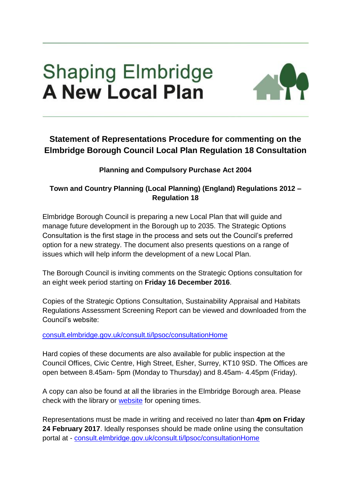## **Shaping Elmbridge A New Local Plan**



## **Statement of Representations Procedure for commenting on the Elmbridge Borough Council Local Plan Regulation 18 Consultation**

## **Planning and Compulsory Purchase Act 2004**

## **Town and Country Planning (Local Planning) (England) Regulations 2012 – Regulation 18**

Elmbridge Borough Council is preparing a new Local Plan that will guide and manage future development in the Borough up to 2035. The Strategic Options Consultation is the first stage in the process and sets out the Council's preferred option for a new strategy. The document also presents questions on a range of issues which will help inform the development of a new Local Plan.

The Borough Council is inviting comments on the Strategic Options consultation for an eight week period starting on **Friday 16 December 2016**.

Copies of the Strategic Options Consultation, Sustainability Appraisal and Habitats Regulations Assessment Screening Report can be viewed and downloaded from the Council's website:

[consult.elmbridge.gov.uk/consult.ti/lpsoc/consultationHome](http://consult.elmbridge.gov.uk/consult.ti/lpsoc/consultationHome)

Hard copies of these documents are also available for public inspection at the Council Offices, Civic Centre, High Street, Esher, Surrey, KT10 9SD. The Offices are open between 8.45am- 5pm (Monday to Thursday) and 8.45am- 4.45pm (Friday).

A copy can also be found at all the libraries in the Elmbridge Borough area. Please check with the library or [website](https://www.surreycc.gov.uk/people-and-community/libraries/your-library/find-your-nearest-library) for opening times.

Representations must be made in writing and received no later than **4pm on Friday 24 February 2017**. Ideally responses should be made online using the consultation portal at - [consult.elmbridge.gov.uk/consult.ti/lpsoc/consultationHome](http://consult.elmbridge.gov.uk/consult.ti/lpsoc/consultationHome)